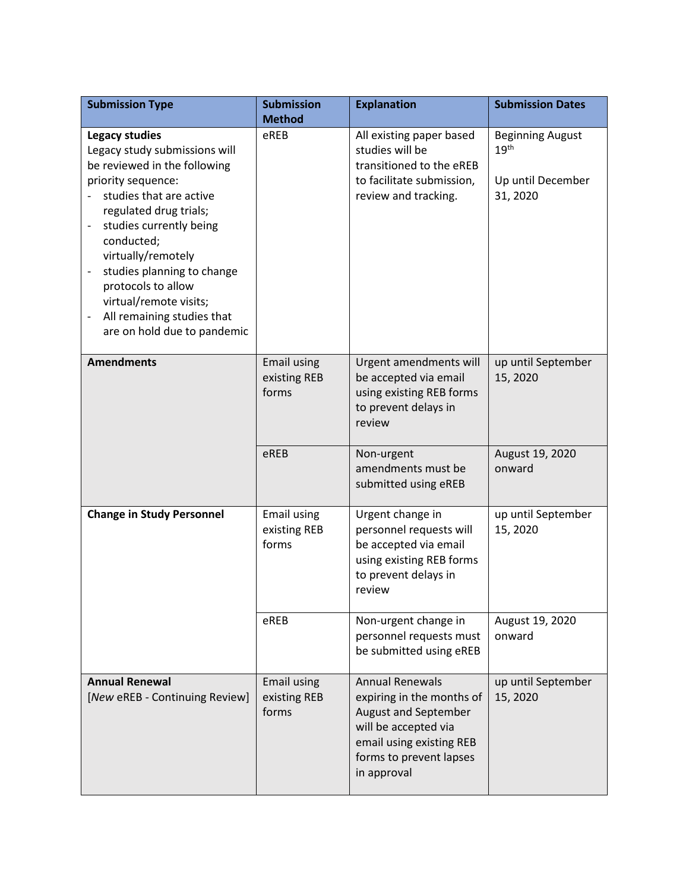| <b>Submission Type</b>                                                                                                                                                                                                                                                                                                                                                                                                                      | <b>Submission</b><br><b>Method</b>          | <b>Explanation</b>                                                                                                                                                        | <b>Submission Dates</b>                                                      |
|---------------------------------------------------------------------------------------------------------------------------------------------------------------------------------------------------------------------------------------------------------------------------------------------------------------------------------------------------------------------------------------------------------------------------------------------|---------------------------------------------|---------------------------------------------------------------------------------------------------------------------------------------------------------------------------|------------------------------------------------------------------------------|
| <b>Legacy studies</b><br>Legacy study submissions will<br>be reviewed in the following<br>priority sequence:<br>studies that are active<br>regulated drug trials;<br>studies currently being<br>conducted;<br>virtually/remotely<br>studies planning to change<br>$\qquad \qquad \blacksquare$<br>protocols to allow<br>virtual/remote visits;<br>All remaining studies that<br>$\qquad \qquad \blacksquare$<br>are on hold due to pandemic | eREB                                        | All existing paper based<br>studies will be<br>transitioned to the eREB<br>to facilitate submission,<br>review and tracking.                                              | <b>Beginning August</b><br>19 <sup>th</sup><br>Up until December<br>31, 2020 |
| <b>Amendments</b>                                                                                                                                                                                                                                                                                                                                                                                                                           | <b>Email using</b><br>existing REB<br>forms | Urgent amendments will<br>be accepted via email<br>using existing REB forms<br>to prevent delays in<br>review                                                             | up until September<br>15, 2020                                               |
|                                                                                                                                                                                                                                                                                                                                                                                                                                             | eREB                                        | Non-urgent<br>amendments must be<br>submitted using eREB                                                                                                                  | August 19, 2020<br>onward                                                    |
| <b>Change in Study Personnel</b>                                                                                                                                                                                                                                                                                                                                                                                                            | Email using<br>existing REB<br>forms        | Urgent change in<br>personnel requests will<br>be accepted via email<br>using existing REB forms<br>to prevent delays in<br>review                                        | up until September<br>15, 2020                                               |
|                                                                                                                                                                                                                                                                                                                                                                                                                                             | eREB                                        | Non-urgent change in<br>personnel requests must<br>be submitted using eREB                                                                                                | August 19, 2020<br>onward                                                    |
| <b>Annual Renewal</b><br>[New eREB - Continuing Review]                                                                                                                                                                                                                                                                                                                                                                                     | <b>Email using</b><br>existing REB<br>forms | <b>Annual Renewals</b><br>expiring in the months of<br>August and September<br>will be accepted via<br>email using existing REB<br>forms to prevent lapses<br>in approval | up until September<br>15, 2020                                               |